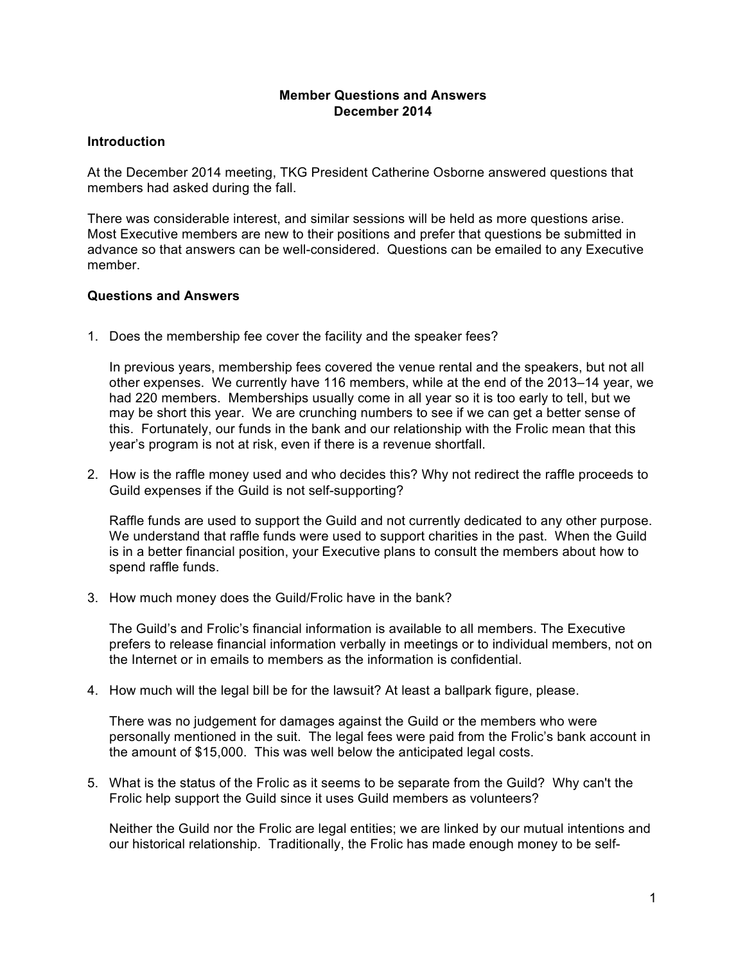## **Member Questions and Answers December 2014**

## **Introduction**

At the December 2014 meeting, TKG President Catherine Osborne answered questions that members had asked during the fall.

There was considerable interest, and similar sessions will be held as more questions arise. Most Executive members are new to their positions and prefer that questions be submitted in advance so that answers can be well-considered. Questions can be emailed to any Executive member.

## **Questions and Answers**

1. Does the membership fee cover the facility and the speaker fees?

In previous years, membership fees covered the venue rental and the speakers, but not all other expenses. We currently have 116 members, while at the end of the 2013–14 year, we had 220 members. Memberships usually come in all year so it is too early to tell, but we may be short this year. We are crunching numbers to see if we can get a better sense of this. Fortunately, our funds in the bank and our relationship with the Frolic mean that this year's program is not at risk, even if there is a revenue shortfall.

2. How is the raffle money used and who decides this? Why not redirect the raffle proceeds to Guild expenses if the Guild is not self-supporting?

Raffle funds are used to support the Guild and not currently dedicated to any other purpose. We understand that raffle funds were used to support charities in the past. When the Guild is in a better financial position, your Executive plans to consult the members about how to spend raffle funds.

3. How much money does the Guild/Frolic have in the bank?

The Guild's and Frolic's financial information is available to all members. The Executive prefers to release financial information verbally in meetings or to individual members, not on the Internet or in emails to members as the information is confidential.

4. How much will the legal bill be for the lawsuit? At least a ballpark figure, please.

There was no judgement for damages against the Guild or the members who were personally mentioned in the suit. The legal fees were paid from the Frolic's bank account in the amount of \$15,000. This was well below the anticipated legal costs.

5. What is the status of the Frolic as it seems to be separate from the Guild? Why can't the Frolic help support the Guild since it uses Guild members as volunteers?

Neither the Guild nor the Frolic are legal entities; we are linked by our mutual intentions and our historical relationship. Traditionally, the Frolic has made enough money to be self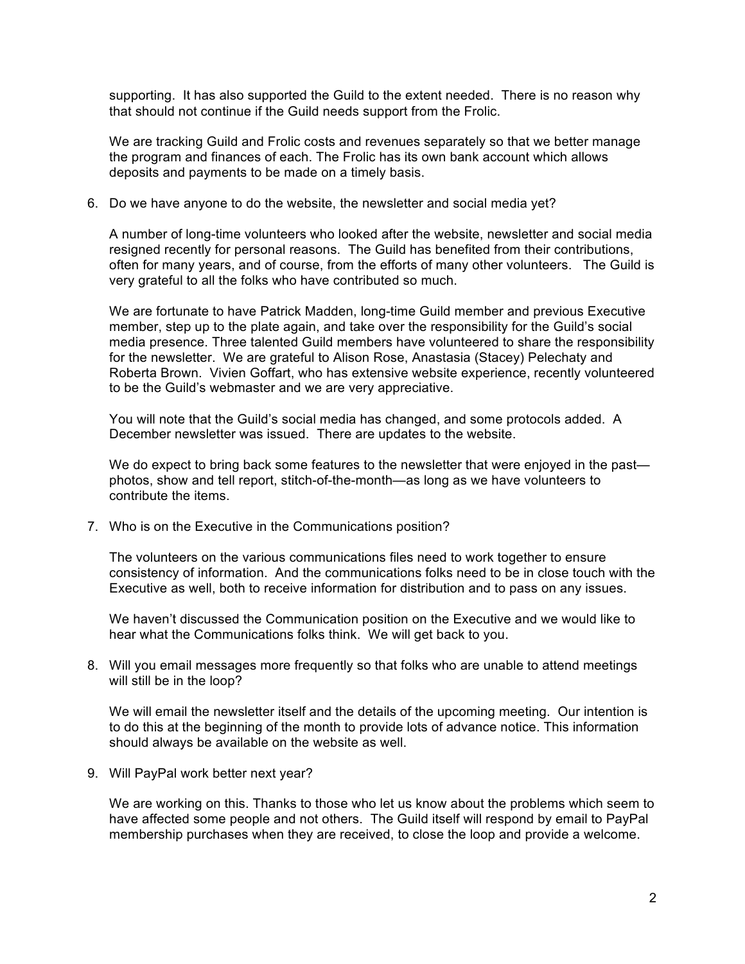supporting. It has also supported the Guild to the extent needed. There is no reason why that should not continue if the Guild needs support from the Frolic.

We are tracking Guild and Frolic costs and revenues separately so that we better manage the program and finances of each. The Frolic has its own bank account which allows deposits and payments to be made on a timely basis.

6. Do we have anyone to do the website, the newsletter and social media yet?

A number of long-time volunteers who looked after the website, newsletter and social media resigned recently for personal reasons. The Guild has benefited from their contributions, often for many years, and of course, from the efforts of many other volunteers. The Guild is very grateful to all the folks who have contributed so much.

We are fortunate to have Patrick Madden, long-time Guild member and previous Executive member, step up to the plate again, and take over the responsibility for the Guild's social media presence. Three talented Guild members have volunteered to share the responsibility for the newsletter. We are grateful to Alison Rose, Anastasia (Stacey) Pelechaty and Roberta Brown. Vivien Goffart, who has extensive website experience, recently volunteered to be the Guild's webmaster and we are very appreciative.

You will note that the Guild's social media has changed, and some protocols added. A December newsletter was issued. There are updates to the website.

We do expect to bring back some features to the newsletter that were enjoyed in the past photos, show and tell report, stitch-of-the-month—as long as we have volunteers to contribute the items.

7. Who is on the Executive in the Communications position?

The volunteers on the various communications files need to work together to ensure consistency of information. And the communications folks need to be in close touch with the Executive as well, both to receive information for distribution and to pass on any issues.

We haven't discussed the Communication position on the Executive and we would like to hear what the Communications folks think. We will get back to you.

8. Will you email messages more frequently so that folks who are unable to attend meetings will still be in the loop?

We will email the newsletter itself and the details of the upcoming meeting. Our intention is to do this at the beginning of the month to provide lots of advance notice. This information should always be available on the website as well.

9. Will PayPal work better next year?

We are working on this. Thanks to those who let us know about the problems which seem to have affected some people and not others. The Guild itself will respond by email to PayPal membership purchases when they are received, to close the loop and provide a welcome.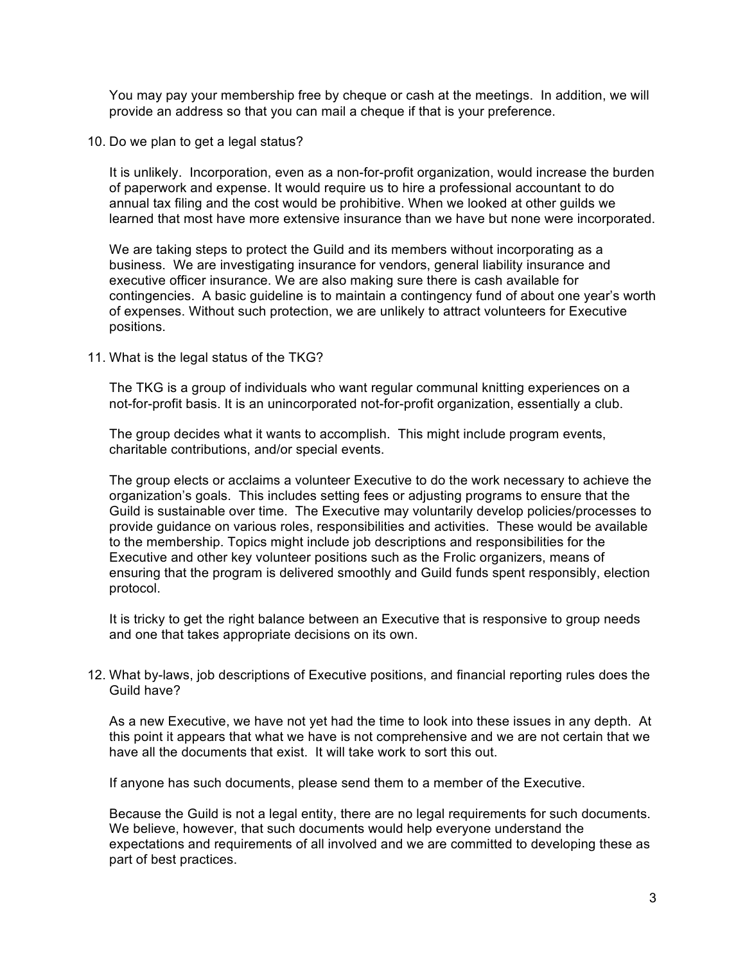You may pay your membership free by cheque or cash at the meetings. In addition, we will provide an address so that you can mail a cheque if that is your preference.

10. Do we plan to get a legal status?

It is unlikely. Incorporation, even as a non-for-profit organization, would increase the burden of paperwork and expense. It would require us to hire a professional accountant to do annual tax filing and the cost would be prohibitive. When we looked at other guilds we learned that most have more extensive insurance than we have but none were incorporated.

We are taking steps to protect the Guild and its members without incorporating as a business. We are investigating insurance for vendors, general liability insurance and executive officer insurance. We are also making sure there is cash available for contingencies. A basic guideline is to maintain a contingency fund of about one year's worth of expenses. Without such protection, we are unlikely to attract volunteers for Executive positions.

11. What is the legal status of the TKG?

The TKG is a group of individuals who want regular communal knitting experiences on a not-for-profit basis. It is an unincorporated not-for-profit organization, essentially a club.

The group decides what it wants to accomplish. This might include program events, charitable contributions, and/or special events.

The group elects or acclaims a volunteer Executive to do the work necessary to achieve the organization's goals. This includes setting fees or adjusting programs to ensure that the Guild is sustainable over time. The Executive may voluntarily develop policies/processes to provide guidance on various roles, responsibilities and activities. These would be available to the membership. Topics might include job descriptions and responsibilities for the Executive and other key volunteer positions such as the Frolic organizers, means of ensuring that the program is delivered smoothly and Guild funds spent responsibly, election protocol.

It is tricky to get the right balance between an Executive that is responsive to group needs and one that takes appropriate decisions on its own.

12. What by-laws, job descriptions of Executive positions, and financial reporting rules does the Guild have?

As a new Executive, we have not yet had the time to look into these issues in any depth. At this point it appears that what we have is not comprehensive and we are not certain that we have all the documents that exist. It will take work to sort this out.

If anyone has such documents, please send them to a member of the Executive.

Because the Guild is not a legal entity, there are no legal requirements for such documents. We believe, however, that such documents would help everyone understand the expectations and requirements of all involved and we are committed to developing these as part of best practices.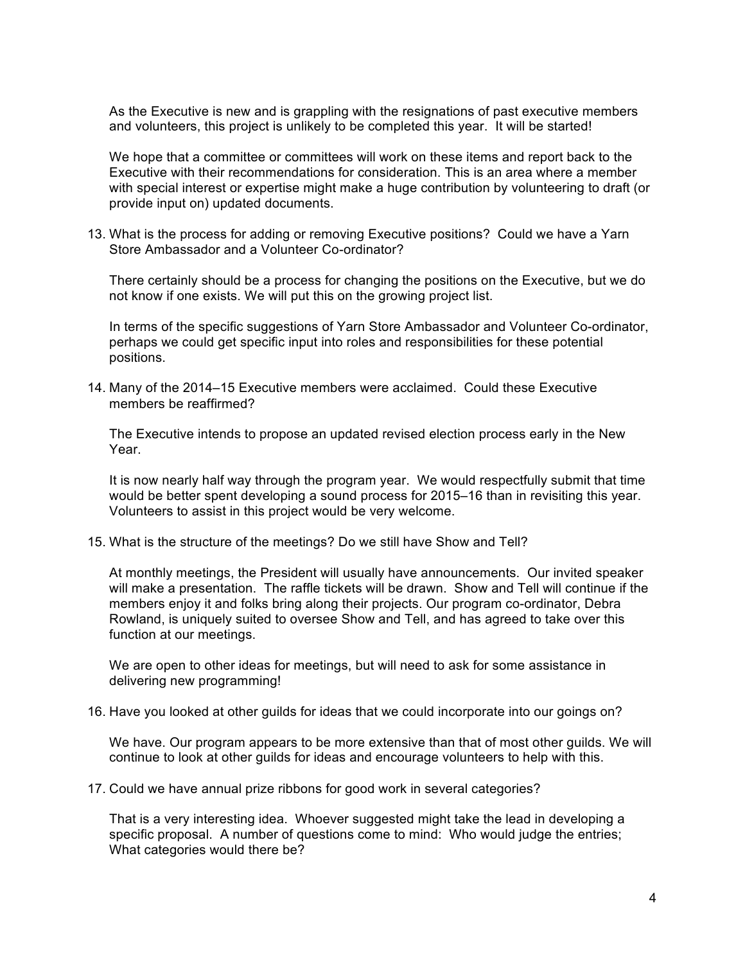As the Executive is new and is grappling with the resignations of past executive members and volunteers, this project is unlikely to be completed this year. It will be started!

We hope that a committee or committees will work on these items and report back to the Executive with their recommendations for consideration. This is an area where a member with special interest or expertise might make a huge contribution by volunteering to draft (or provide input on) updated documents.

13. What is the process for adding or removing Executive positions? Could we have a Yarn Store Ambassador and a Volunteer Co-ordinator?

There certainly should be a process for changing the positions on the Executive, but we do not know if one exists. We will put this on the growing project list.

In terms of the specific suggestions of Yarn Store Ambassador and Volunteer Co-ordinator, perhaps we could get specific input into roles and responsibilities for these potential positions.

14. Many of the 2014–15 Executive members were acclaimed. Could these Executive members be reaffirmed?

The Executive intends to propose an updated revised election process early in the New Year.

It is now nearly half way through the program year. We would respectfully submit that time would be better spent developing a sound process for 2015–16 than in revisiting this year. Volunteers to assist in this project would be very welcome.

15. What is the structure of the meetings? Do we still have Show and Tell?

At monthly meetings, the President will usually have announcements. Our invited speaker will make a presentation. The raffle tickets will be drawn. Show and Tell will continue if the members enjoy it and folks bring along their projects. Our program co-ordinator, Debra Rowland, is uniquely suited to oversee Show and Tell, and has agreed to take over this function at our meetings.

We are open to other ideas for meetings, but will need to ask for some assistance in delivering new programming!

16. Have you looked at other guilds for ideas that we could incorporate into our goings on?

We have. Our program appears to be more extensive than that of most other guilds. We will continue to look at other guilds for ideas and encourage volunteers to help with this.

17. Could we have annual prize ribbons for good work in several categories?

That is a very interesting idea. Whoever suggested might take the lead in developing a specific proposal. A number of questions come to mind: Who would judge the entries; What categories would there be?